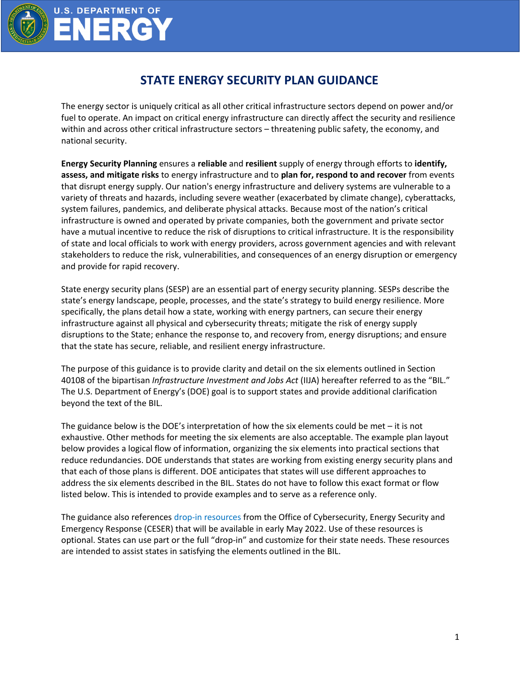

**U.S. DEPARTMENT OF** 

**NERG** 

## **STATE ENERGY SECURITY PLAN GUIDANCE**

The energy sector is uniquely critical as all other critical infrastructure sectors depend on power and/or fuel to operate. An impact on critical energy infrastructure can directly affect the security and resilience within and across other critical infrastructure sectors – threatening public safety, the economy, and national security.

**Energy Security Planning** ensures a **reliable** and **resilient** supply of energy through efforts to **identify, assess, and mitigate risks** to energy infrastructure and to **plan for, respond to and recover** from events that disrupt energy supply. Our nation's energy infrastructure and delivery systems are vulnerable to a variety of threats and hazards, including severe weather (exacerbated by climate change), cyberattacks, system failures, pandemics, and deliberate physical attacks. Because most of the nation's critical infrastructure is owned and operated by private companies, both the government and private sector have a mutual incentive to reduce the risk of disruptions to critical infrastructure. It is the responsibility of state and local officials to work with energy providers, across government agencies and with relevant stakeholders to reduce the risk, vulnerabilities, and consequences of an energy disruption or emergency and provide for rapid recovery.

State energy security plans (SESP) are an essential part of energy security planning. SESPs describe the state's energy landscape, people, processes, and the state's strategy to build energy resilience. More specifically, the plans detail how a state, working with energy partners, can secure their energy infrastructure against all physical and cybersecurity threats; mitigate the risk of energy supply disruptions to the State; enhance the response to, and recovery from, energy disruptions; and ensure that the state has secure, reliable, and resilient energy infrastructure.

The purpose of this guidance is to provide clarity and detail on the six elements outlined in Section 40108 of the bipartisan *Infrastructure Investment and Jobs Act* (IIJA) hereafter referred to as the "BIL." The U.S. Department of Energy's (DOE) goal is to support states and provide additional clarification beyond the text of the BIL.

The guidance below is the DOE's interpretation of how the six elements could be met – it is not exhaustive. Other methods for meeting the six elements are also acceptable. The example plan layout below provides a logical flow of information, organizing the six elements into practical sections that reduce redundancies. DOE understands that states are working from existing energy security plans and that each of those plans is different. DOE anticipates that states will use different approaches to address the six elements described in the BIL. States do not have to follow this exact format or flow listed below. This is intended to provide examples and to serve as a reference only.

The guidance also references drop-in resources from the Office of Cybersecurity, Energy Security and Emergency Response (CESER) that will be available in early May 2022. Use of these resources is optional. States can use part or the full "drop-in" and customize for their state needs. These resources are intended to assist states in satisfying the elements outlined in the BIL.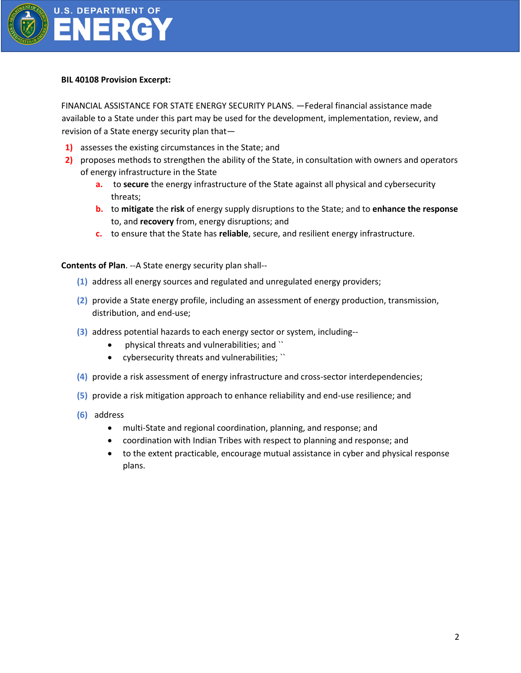

#### **BIL 40108 Provision Excerpt:**

FINANCIAL ASSISTANCE FOR STATE ENERGY SECURITY PLANS. —Federal financial assistance made available to a State under this part may be used for the development, implementation, review, and revision of a State energy security plan that—

- **1)** assesses the existing circumstances in the State; and
- **2)** proposes methods to strengthen the ability of the State, in consultation with owners and operators of energy infrastructure in the State
	- **a.** to **secure** the energy infrastructure of the State against all physical and cybersecurity threats;
	- **b.** to **mitigate** the **risk** of energy supply disruptions to the State; and to **enhance the response** to, and **recovery** from, energy disruptions; and
	- **c.** to ensure that the State has **reliable**, secure, and resilient energy infrastructure.

**Contents of Plan**. --A State energy security plan shall--

- **(1)** address all energy sources and regulated and unregulated energy providers;
- **(2)** provide a State energy profile, including an assessment of energy production, transmission, distribution, and end-use;
- **(3)** address potential hazards to each energy sector or system, including--
	- physical threats and vulnerabilities; and ``
	- cybersecurity threats and vulnerabilities; ``
- **(4)** provide a risk assessment of energy infrastructure and cross-sector interdependencies;
- **(5)** provide a risk mitigation approach to enhance reliability and end-use resilience; and
- **(6)** address
	- multi-State and regional coordination, planning, and response; and
	- coordination with Indian Tribes with respect to planning and response; and
	- to the extent practicable, encourage mutual assistance in cyber and physical response plans.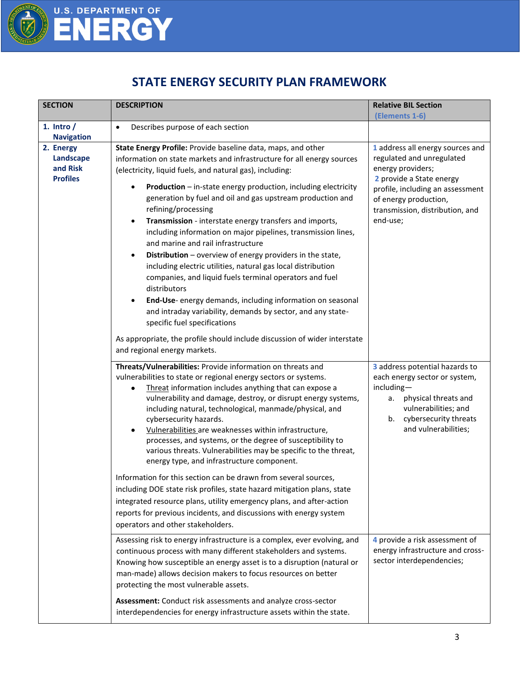

# U.S. DEPARTMENT OF

### **STATE ENERGY SECURITY PLAN FRAMEWORK**

| <b>SECTION</b>                                        | <b>DESCRIPTION</b>                                                                                                                                                                                                                                                                                                                                                                                                                                                                                                                                                                                                                                                                                                                                                                                                                                                                                                                          | <b>Relative BIL Section</b>                                                                                                                                                                                                |
|-------------------------------------------------------|---------------------------------------------------------------------------------------------------------------------------------------------------------------------------------------------------------------------------------------------------------------------------------------------------------------------------------------------------------------------------------------------------------------------------------------------------------------------------------------------------------------------------------------------------------------------------------------------------------------------------------------------------------------------------------------------------------------------------------------------------------------------------------------------------------------------------------------------------------------------------------------------------------------------------------------------|----------------------------------------------------------------------------------------------------------------------------------------------------------------------------------------------------------------------------|
| 1. Intro $/$<br><b>Navigation</b>                     | Describes purpose of each section<br>$\bullet$                                                                                                                                                                                                                                                                                                                                                                                                                                                                                                                                                                                                                                                                                                                                                                                                                                                                                              | (Elements 1-6)                                                                                                                                                                                                             |
| 2. Energy<br>Landscape<br>and Risk<br><b>Profiles</b> | State Energy Profile: Provide baseline data, maps, and other<br>information on state markets and infrastructure for all energy sources<br>(electricity, liquid fuels, and natural gas), including:<br>Production - in-state energy production, including electricity<br>٠<br>generation by fuel and oil and gas upstream production and<br>refining/processing<br>Transmission - interstate energy transfers and imports,<br>$\bullet$<br>including information on major pipelines, transmission lines,<br>and marine and rail infrastructure<br>Distribution - overview of energy providers in the state,<br>$\bullet$<br>including electric utilities, natural gas local distribution<br>companies, and liquid fuels terminal operators and fuel<br>distributors<br>End-Use-energy demands, including information on seasonal<br>$\bullet$<br>and intraday variability, demands by sector, and any state-<br>specific fuel specifications | 1 address all energy sources and<br>regulated and unregulated<br>energy providers;<br>2 provide a State energy<br>profile, including an assessment<br>of energy production,<br>transmission, distribution, and<br>end-use; |
|                                                       | As appropriate, the profile should include discussion of wider interstate<br>and regional energy markets.                                                                                                                                                                                                                                                                                                                                                                                                                                                                                                                                                                                                                                                                                                                                                                                                                                   |                                                                                                                                                                                                                            |
|                                                       | Threats/Vulnerabilities: Provide information on threats and<br>vulnerabilities to state or regional energy sectors or systems.<br>Threat information includes anything that can expose a<br>vulnerability and damage, destroy, or disrupt energy systems,<br>including natural, technological, manmade/physical, and<br>cybersecurity hazards.<br>Vulnerabilities are weaknesses within infrastructure,<br>$\bullet$<br>processes, and systems, or the degree of susceptibility to<br>various threats. Vulnerabilities may be specific to the threat,<br>energy type, and infrastructure component.<br>Information for this section can be drawn from several sources,                                                                                                                                                                                                                                                                      | 3 address potential hazards to<br>each energy sector or system,<br>including-<br>physical threats and<br>а.<br>vulnerabilities; and<br>cybersecurity threats<br>b.<br>and vulnerabilities;                                 |
|                                                       | including DOE state risk profiles, state hazard mitigation plans, state<br>integrated resource plans, utility emergency plans, and after-action<br>reports for previous incidents, and discussions with energy system<br>operators and other stakeholders.                                                                                                                                                                                                                                                                                                                                                                                                                                                                                                                                                                                                                                                                                  |                                                                                                                                                                                                                            |
|                                                       | Assessing risk to energy infrastructure is a complex, ever evolving, and<br>continuous process with many different stakeholders and systems.<br>Knowing how susceptible an energy asset is to a disruption (natural or<br>man-made) allows decision makers to focus resources on better<br>protecting the most vulnerable assets.                                                                                                                                                                                                                                                                                                                                                                                                                                                                                                                                                                                                           | 4 provide a risk assessment of<br>energy infrastructure and cross-<br>sector interdependencies;                                                                                                                            |
|                                                       | Assessment: Conduct risk assessments and analyze cross-sector<br>interdependencies for energy infrastructure assets within the state.                                                                                                                                                                                                                                                                                                                                                                                                                                                                                                                                                                                                                                                                                                                                                                                                       |                                                                                                                                                                                                                            |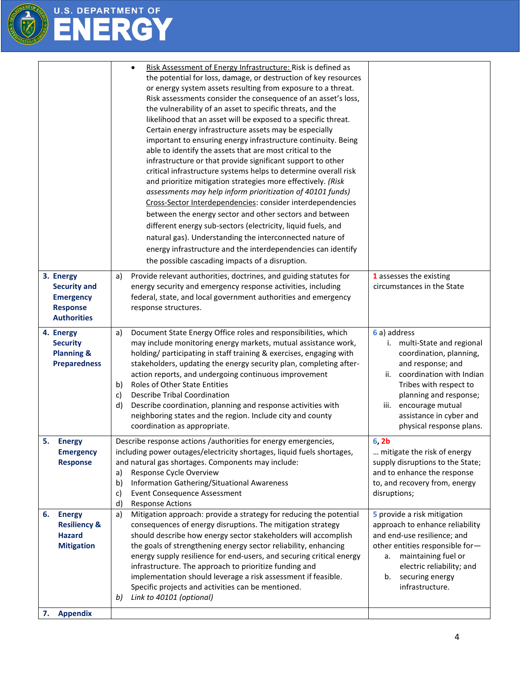

# U.S. DEPARTMENT OF

|                                                                                               | Risk Assessment of Energy Infrastructure: Risk is defined as<br>the potential for loss, damage, or destruction of key resources<br>or energy system assets resulting from exposure to a threat.<br>Risk assessments consider the consequence of an asset's loss,<br>the vulnerability of an asset to specific threats, and the<br>likelihood that an asset will be exposed to a specific threat.<br>Certain energy infrastructure assets may be especially<br>important to ensuring energy infrastructure continuity. Being<br>able to identify the assets that are most critical to the<br>infrastructure or that provide significant support to other<br>critical infrastructure systems helps to determine overall risk<br>and prioritize mitigation strategies more effectively. (Risk<br>assessments may help inform prioritization of 40101 funds)<br>Cross-Sector Interdependencies: consider interdependencies<br>between the energy sector and other sectors and between<br>different energy sub-sectors (electricity, liquid fuels, and<br>natural gas). Understanding the interconnected nature of<br>energy infrastructure and the interdependencies can identify<br>the possible cascading impacts of a disruption. |                                                                                                                                                                                                                                                                       |
|-----------------------------------------------------------------------------------------------|----------------------------------------------------------------------------------------------------------------------------------------------------------------------------------------------------------------------------------------------------------------------------------------------------------------------------------------------------------------------------------------------------------------------------------------------------------------------------------------------------------------------------------------------------------------------------------------------------------------------------------------------------------------------------------------------------------------------------------------------------------------------------------------------------------------------------------------------------------------------------------------------------------------------------------------------------------------------------------------------------------------------------------------------------------------------------------------------------------------------------------------------------------------------------------------------------------------------------------|-----------------------------------------------------------------------------------------------------------------------------------------------------------------------------------------------------------------------------------------------------------------------|
| 3. Energy<br><b>Security and</b><br><b>Emergency</b><br><b>Response</b><br><b>Authorities</b> | Provide relevant authorities, doctrines, and guiding statutes for<br>a)<br>energy security and emergency response activities, including<br>federal, state, and local government authorities and emergency<br>response structures.                                                                                                                                                                                                                                                                                                                                                                                                                                                                                                                                                                                                                                                                                                                                                                                                                                                                                                                                                                                                | 1 assesses the existing<br>circumstances in the State                                                                                                                                                                                                                 |
| 4. Energy<br><b>Security</b><br><b>Planning &amp;</b><br><b>Preparedness</b>                  | Document State Energy Office roles and responsibilities, which<br>a)<br>may include monitoring energy markets, mutual assistance work,<br>holding/ participating in staff training & exercises, engaging with<br>stakeholders, updating the energy security plan, completing after-<br>action reports, and undergoing continuous improvement<br>Roles of Other State Entities<br>b)<br><b>Describe Tribal Coordination</b><br>c)<br>Describe coordination, planning and response activities with<br>d)<br>neighboring states and the region. Include city and county<br>coordination as appropriate.                                                                                                                                                                                                                                                                                                                                                                                                                                                                                                                                                                                                                             | 6 a) address<br>i. multi-State and regional<br>coordination, planning,<br>and response; and<br>coordination with Indian<br>ii.<br>Tribes with respect to<br>planning and response;<br>encourage mutual<br>iii.<br>assistance in cyber and<br>physical response plans. |
| 5<br><b>Energy</b><br><b>Emergency</b><br><b>Response</b>                                     | Describe response actions /authorities for energy emergencies,<br>including power outages/electricity shortages, liquid fuels shortages,<br>and natural gas shortages. Components may include:<br>Response Cycle Overview<br>a)<br>Information Gathering/Situational Awareness<br>b)<br><b>Event Consequence Assessment</b><br>c)<br><b>Response Actions</b><br>d)                                                                                                                                                                                                                                                                                                                                                                                                                                                                                                                                                                                                                                                                                                                                                                                                                                                               | 6.2 <sub>b</sub><br>mitigate the risk of energy<br>supply disruptions to the State;<br>and to enhance the response<br>to, and recovery from, energy<br>disruptions;                                                                                                   |
| <b>Energy</b><br>6.<br><b>Resiliency &amp;</b><br><b>Hazard</b><br><b>Mitigation</b>          | Mitigation approach: provide a strategy for reducing the potential<br>a)<br>consequences of energy disruptions. The mitigation strategy<br>should describe how energy sector stakeholders will accomplish<br>the goals of strengthening energy sector reliability, enhancing<br>energy supply resilience for end-users, and securing critical energy<br>infrastructure. The approach to prioritize funding and<br>implementation should leverage a risk assessment if feasible.<br>Specific projects and activities can be mentioned.<br>Link to 40101 (optional)<br>b)                                                                                                                                                                                                                                                                                                                                                                                                                                                                                                                                                                                                                                                          | 5 provide a risk mitigation<br>approach to enhance reliability<br>and end-use resilience; and<br>other entities responsible for-<br>maintaining fuel or<br>а.<br>electric reliability; and<br>securing energy<br>b.<br>infrastructure.                                |
| <b>Appendix</b><br>7.                                                                         |                                                                                                                                                                                                                                                                                                                                                                                                                                                                                                                                                                                                                                                                                                                                                                                                                                                                                                                                                                                                                                                                                                                                                                                                                                  |                                                                                                                                                                                                                                                                       |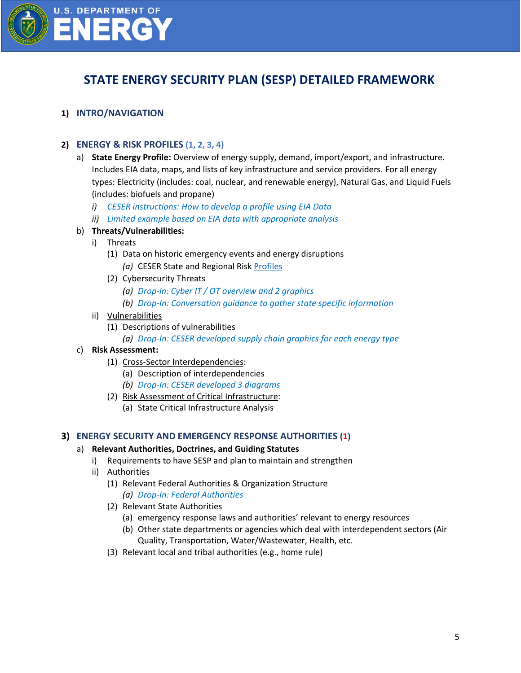

### **STATE ENERGY SECURITY PLAN (SESP) DETAILED FRAMEWORK**

#### **1) INTRO/NAVIGATION**

#### **2) ENERGY & RISK PROFILES (1, 2, 3, 4)**

- a) **State Energy Profile:** Overview of energy supply, demand, import/export, and infrastructure. Includes EIA data, maps, and lists of key infrastructure and service providers. For all energy types: Electricity (includes: coal, nuclear, and renewable energy), Natural Gas, and Liquid Fuels (includes: biofuels and propane)
	- *i) CESER instructions: How to develop a profile using EIA Data*
	- *ii) Limited example based on EIA data with appropriate analysis*

#### b) **Threats/Vulnerabilities:**

- i) Threats
	- (1) Data on historic emergency events and energy disruptions *(a)* CESER State and Regional Risk [Profiles](https://www.energy.gov/ceser/state-and-regional-energy-risk-profiles#:~:text=The%20Office%20of%20Cybersecurity%2C%20Energy,energy%20infrastructure%20trends%20and%20impacts.)
	- (2) Cybersecurity Threats
		- *(a) Drop-in: Cyber IT / OT overview and 2 graphics*
		- *(b) Drop-In: Conversation guidance to gather state specific information*
- ii) Vulnerabilities
	- (1) Descriptions of vulnerabilities
		- *(a) Drop-In: CESER developed supply chain graphics for each energy type*
- c) **Risk Assessment:** 
	- (1) Cross-Sector Interdependencies:
		- (a) Description of interdependencies
		- *(b) Drop-In: CESER developed 3 diagrams*
	- (2) Risk Assessment of Critical Infrastructure:
		- (a) State Critical Infrastructure Analysis

#### **3) ENERGY SECURITY AND EMERGENCY RESPONSE AUTHORITIES (1)**

#### a) **Relevant Authorities, Doctrines, and Guiding Statutes**

- i) Requirements to have SESP and plan to maintain and strengthen
- ii) Authorities
	- (1) Relevant Federal Authorities & Organization Structure *(a) Drop-In: Federal Authorities*
	- (2) Relevant State Authorities
		- (a) emergency response laws and authorities' relevant to energy resources
		- (b) Other state departments or agencies which deal with interdependent sectors (Air Quality, Transportation, Water/Wastewater, Health, etc.
	- (3) Relevant local and tribal authorities (e.g., home rule)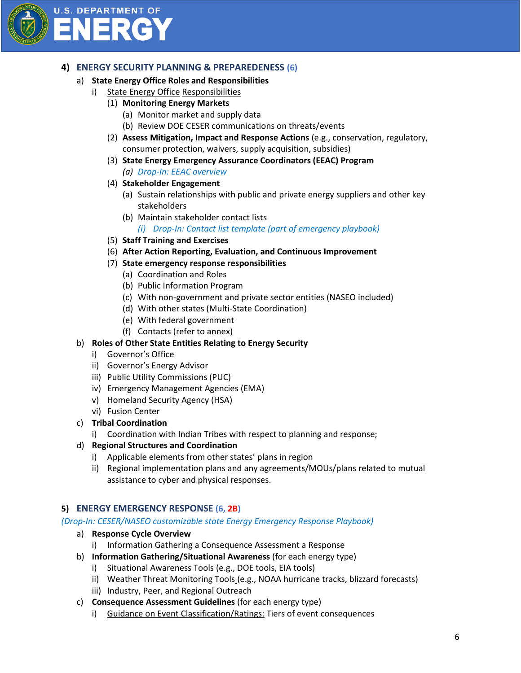

## **U.S. DEPARTMENT OF** ERGY

#### **4) ENERGY SECURITY PLANNING & PREPAREDENESS (6)**

- a) **State Energy Office Roles and Responsibilities**
	- i) State Energy Office Responsibilities
		- (1) **Monitoring Energy Markets**
			- (a) Monitor market and supply data
			- (b) Review DOE CESER communications on threats/events
		- (2) **Assess Mitigation, Impact and Response Actions** (e.g., conservation, regulatory, consumer protection, waivers, supply acquisition, subsidies)
		- (3) **State Energy Emergency Assurance Coordinators (EEAC) Program**
			- *(a) Drop-In: EEAC overview*
		- (4) **Stakeholder Engagement**
			- (a) Sustain relationships with public and private energy suppliers and other key stakeholders
			- (b) Maintain stakeholder contact lists
				- *(i) Drop-In: Contact list template (part of emergency playbook)*
		- (5) **Staff Training and Exercises**
		- (6) **After Action Reporting, Evaluation, and Continuous Improvement**
		- (7) **State emergency response responsibilities** 
			- (a) Coordination and Roles
			- (b) Public Information Program
			- (c) With non-government and private sector entities (NASEO included)
			- (d) With other states (Multi-State Coordination)
			- (e) With federal government
			- (f) Contacts (refer to annex)
- b) **Roles of Other State Entities Relating to Energy Security**
	- i) Governor's Office
	- ii) Governor's Energy Advisor
	- iii) Public Utility Commissions (PUC)
	- iv) Emergency Management Agencies (EMA)
	- v) Homeland Security Agency (HSA)
	- vi) Fusion Center
- c) **Tribal Coordination**
	- i) Coordination with Indian Tribes with respect to planning and response;
- d) **Regional Structures and Coordination**
	- i) Applicable elements from other states' plans in region
	- ii) Regional implementation plans and any agreements/MOUs/plans related to mutual assistance to cyber and physical responses.

#### **5) ENERGY EMERGENCY RESPONSE (6, 2B)**

#### *(Drop-In: CESER/NASEO customizable state Energy Emergency Response Playbook)*

- a) **Response Cycle Overview**
	- i) Information Gathering a Consequence Assessment a Response
- b) **Information Gathering/Situational Awareness** (for each energy type)
	- i) Situational Awareness Tools (e.g., DOE tools, EIA tools)
	- ii) Weather Threat Monitoring Tools (e.g., NOAA hurricane tracks, blizzard forecasts)
	- iii) Industry, Peer, and Regional Outreach
- c) **Consequence Assessment Guidelines** (for each energy type)
	- i) Guidance on Event Classification/Ratings: Tiers of event consequences